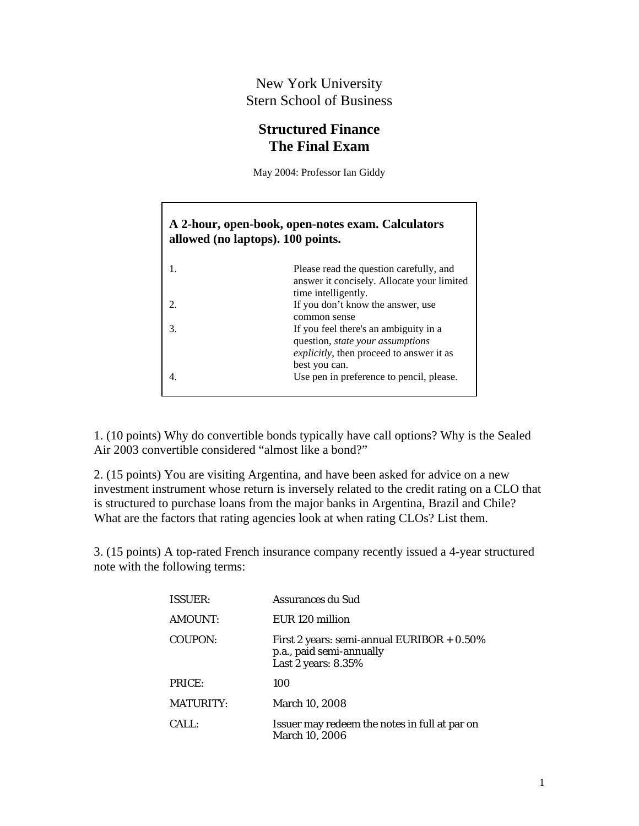## New York University Stern School of Business

## **Structured Finance The Final Exam**

May 2004: Professor Ian Giddy

## **A 2-hour, open-book, open-notes exam. Calculators allowed (no laptops). 100 points.**

| Please read the question carefully, and<br>answer it concisely. Allocate your limited<br>time intelligently. |
|--------------------------------------------------------------------------------------------------------------|
| If you don't know the answer, use                                                                            |
| common sense                                                                                                 |
| If you feel there's an ambiguity in a<br>question, <i>state your assumptions</i>                             |
| explicitly, then proceed to answer it as                                                                     |
| best you can.                                                                                                |
| Use pen in preference to pencil, please.                                                                     |

1. (10 points) Why do convertible bonds typically have call options? Why is the Sealed Air 2003 convertible considered "almost like a bond?"

2. (15 points) You are visiting Argentina, and have been asked for advice on a new investment instrument whose return is inversely related to the credit rating on a CLO that is structured to purchase loans from the major banks in Argentina, Brazil and Chile? What are the factors that rating agencies look at when rating CLOs? List them.

3. (15 points) A top-rated French insurance company recently issued a 4-year structured note with the following terms:

| <b>ISSUER:</b>   | Assurances du Sud                                                                                |
|------------------|--------------------------------------------------------------------------------------------------|
| AMOUNT:          | EUR 120 million                                                                                  |
| COUPON:          | First 2 years: semi-annual EURIBOR $+ 0.50\%$<br>p.a., paid semi-annually<br>Last 2 years: 8.35% |
| PRICE:           | 100                                                                                              |
| <b>MATURITY:</b> | <b>March 10, 2008</b>                                                                            |
| CALL:            | Issuer may redeem the notes in full at par on<br>March 10, 2006                                  |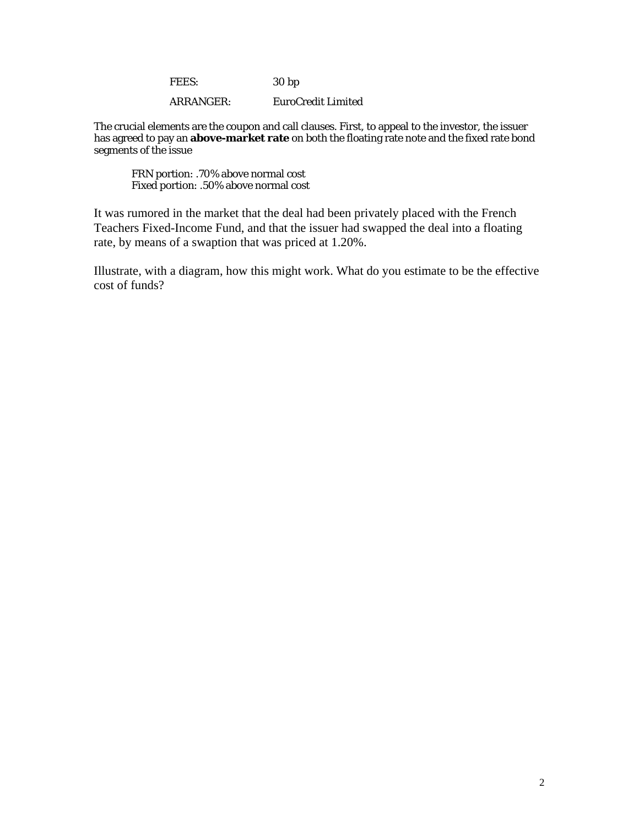FEES: 30 bp

ARRANGER: EuroCredit Limited

The crucial elements are the coupon and call clauses. First, to appeal to the investor, the issuer has agreed to pay an **above-market rate** on both the floating rate note and the fixed rate bond segments of the issue

FRN portion: .70% above normal cost Fixed portion: .50% above normal cost

It was rumored in the market that the deal had been privately placed with the French Teachers Fixed-Income Fund, and that the issuer had swapped the deal into a floating rate, by means of a swaption that was priced at 1.20%.

Illustrate, with a diagram, how this might work. What do you estimate to be the effective cost of funds?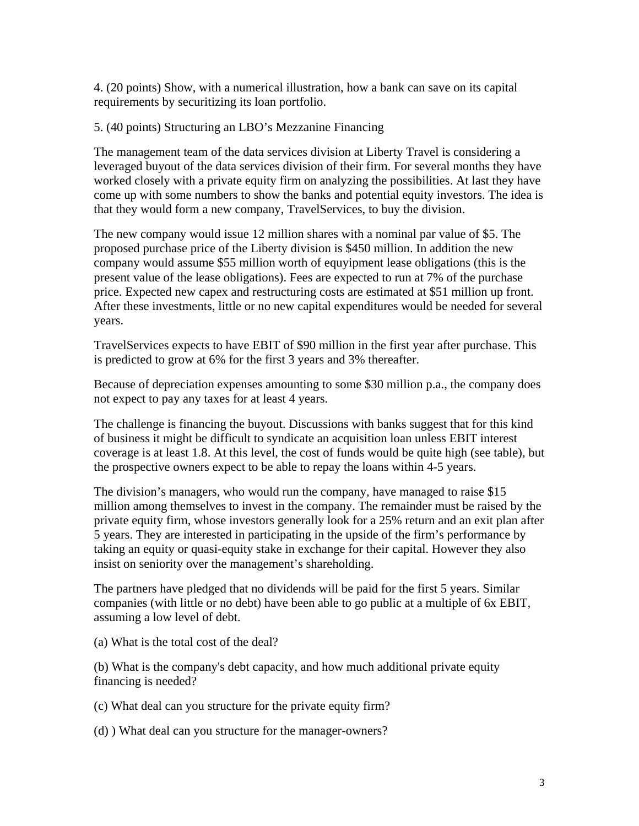4. (20 points) Show, with a numerical illustration, how a bank can save on its capital requirements by securitizing its loan portfolio.

5. (40 points) Structuring an LBO's Mezzanine Financing

The management team of the data services division at Liberty Travel is considering a leveraged buyout of the data services division of their firm. For several months they have worked closely with a private equity firm on analyzing the possibilities. At last they have come up with some numbers to show the banks and potential equity investors. The idea is that they would form a new company, TravelServices, to buy the division.

The new company would issue 12 million shares with a nominal par value of \$5. The proposed purchase price of the Liberty division is \$450 million. In addition the new company would assume \$55 million worth of equyipment lease obligations (this is the present value of the lease obligations). Fees are expected to run at 7% of the purchase price. Expected new capex and restructuring costs are estimated at \$51 million up front. After these investments, little or no new capital expenditures would be needed for several years.

TravelServices expects to have EBIT of \$90 million in the first year after purchase. This is predicted to grow at 6% for the first 3 years and 3% thereafter.

Because of depreciation expenses amounting to some \$30 million p.a., the company does not expect to pay any taxes for at least 4 years.

The challenge is financing the buyout. Discussions with banks suggest that for this kind of business it might be difficult to syndicate an acquisition loan unless EBIT interest coverage is at least 1.8. At this level, the cost of funds would be quite high (see table), but the prospective owners expect to be able to repay the loans within 4-5 years.

The division's managers, who would run the company, have managed to raise \$15 million among themselves to invest in the company. The remainder must be raised by the private equity firm, whose investors generally look for a 25% return and an exit plan after 5 years. They are interested in participating in the upside of the firm's performance by taking an equity or quasi-equity stake in exchange for their capital. However they also insist on seniority over the management's shareholding.

The partners have pledged that no dividends will be paid for the first 5 years. Similar companies (with little or no debt) have been able to go public at a multiple of 6x EBIT, assuming a low level of debt.

(a) What is the total cost of the deal?

(b) What is the company's debt capacity, and how much additional private equity financing is needed?

(c) What deal can you structure for the private equity firm?

(d) ) What deal can you structure for the manager-owners?